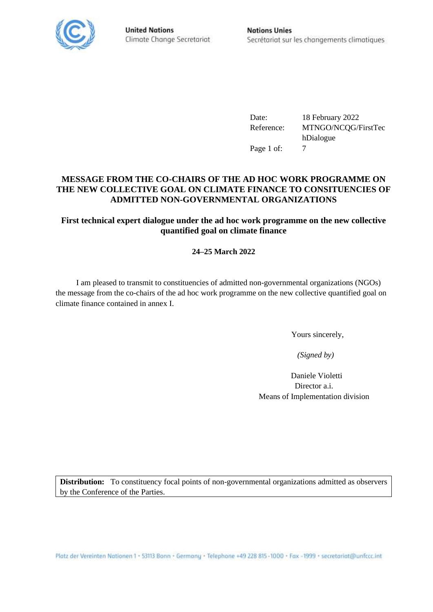

**United Nations** Climate Change Secretariat

Date: 18 February 2022 Reference: MTNGO/NCQG/FirstTec hDialogue Page 1 of: 7

## **MESSAGE FROM THE CO-CHAIRS OF THE AD HOC WORK PROGRAMME ON THE NEW COLLECTIVE GOAL ON CLIMATE FINANCE TO CONSITUENCIES OF ADMITTED NON-GOVERNMENTAL ORGANIZATIONS**

# **First technical expert dialogue under the ad hoc work programme on the new collective quantified goal on climate finance**

# **24–25 March 2022**

I am pleased to transmit to constituencies of admitted non-governmental organizations (NGOs) the message from the co-chairs of the ad hoc work programme on the new collective quantified goal on climate finance contained in annex I.

Yours sincerely,

 *(Signed by)*

Daniele Violetti Director a.i. Means of Implementation division

**Distribution:** To constituency focal points of non-governmental organizations admitted as observers by the Conference of the Parties.

Platz der Vereinten Nationen 1 · 53113 Bonn · Germany · Telephone +49 228 815 -1000 · Fax -1999 · secretariat@unfccc.int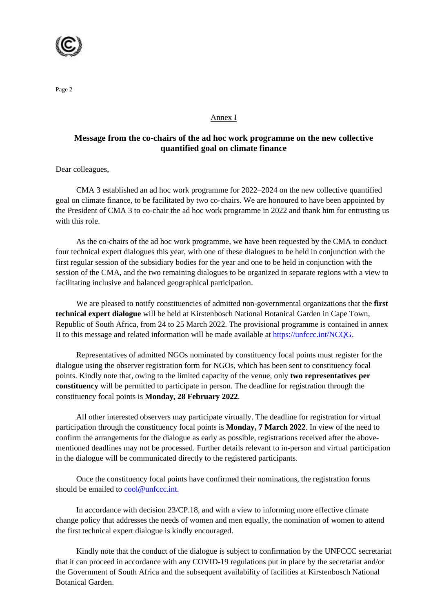

#### Annex I

### **Message from the co-chairs of the ad hoc work programme on the new collective quantified goal on climate finance**

Dear colleagues,

CMA 3 established an ad hoc work programme for 2022–2024 on the new collective quantified goal on climate finance, to be facilitated by two co-chairs. We are honoured to have been appointed by the President of CMA 3 to co-chair the ad hoc work programme in 2022 and thank him for entrusting us with this role.

As the co-chairs of the ad hoc work programme, we have been requested by the CMA to conduct four technical expert dialogues this year, with one of these dialogues to be held in conjunction with the first regular session of the subsidiary bodies for the year and one to be held in conjunction with the session of the CMA, and the two remaining dialogues to be organized in separate regions with a view to facilitating inclusive and balanced geographical participation.

We are pleased to notify constituencies of admitted non-governmental organizations that the **first technical expert dialogue** will be held at Kirstenbosch National Botanical Garden in Cape Town, Republic of South Africa, from 24 to 25 March 2022. The provisional programme is contained in annex II to this message and related information will be made available at [https://unfccc.int/NCQG.](https://unfccc.int/NCQG)

Representatives of admitted NGOs nominated by constituency focal points must register for the dialogue using the observer registration form for NGOs, which has been sent to constituency focal points. Kindly note that, owing to the limited capacity of the venue, only **two representatives per constituency** will be permitted to participate in person. The deadline for registration through the constituency focal points is **Monday, 28 February 2022**.

All other interested observers may participate virtually. The deadline for registration for virtual participation through the constituency focal points is **Monday, 7 March 2022**. In view of the need to confirm the arrangements for the dialogue as early as possible, registrations received after the abovementioned deadlines may not be processed. Further details relevant to in-person and virtual participation in the dialogue will be communicated directly to the registered participants.

Once the constituency focal points have confirmed their nominations, the registration forms should be emailed to [cool@unfccc.int.](mailto:cool@unfccc.int)

In accordance with decision 23/CP.18, and with a view to informing more effective climate change policy that addresses the needs of women and men equally, the nomination of women to attend the first technical expert dialogue is kindly encouraged.

Kindly note that the conduct of the dialogue is subject to confirmation by the UNFCCC secretariat that it can proceed in accordance with any COVID-19 regulations put in place by the secretariat and/or the Government of South Africa and the subsequent availability of facilities at Kirstenbosch National Botanical Garden.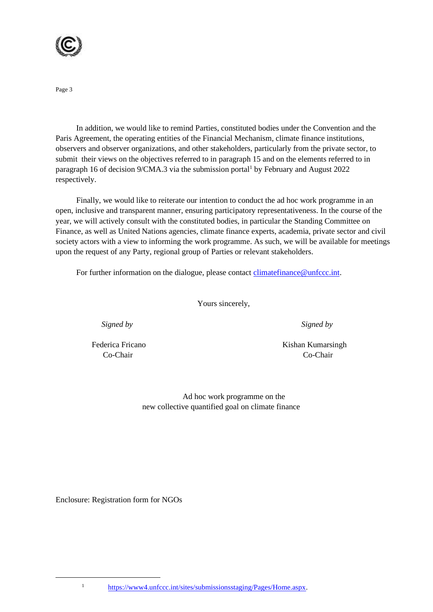

In addition, we would like to remind Parties, constituted bodies under the Convention and the Paris Agreement, the operating entities of the Financial Mechanism, climate finance institutions, observers and observer organizations, and other stakeholders, particularly from the private sector, to submit their views on the objectives referred to in paragraph 15 and on the elements referred to in paragraph 16 of decision 9/CMA.3 via the submission portal<sup>1</sup> by February and August 2022 respectively.

Finally, we would like to reiterate our intention to conduct the ad hoc work programme in an open, inclusive and transparent manner, ensuring participatory representativeness. In the course of the year, we will actively consult with the constituted bodies, in particular the Standing Committee on Finance, as well as United Nations agencies, climate finance experts, academia, private sector and civil society actors with a view to informing the work programme. As such, we will be available for meetings upon the request of any Party, regional group of Parties or relevant stakeholders.

For further information on the dialogue, please contact [climatefinance@unfccc.int.](mailto:climatefinance@unfccc.int)

Yours sincerely,

 *Signed by Signed by*

Federica Fricano Kishan Kumarsingh Co-Chair Co-Chair

> Ad hoc work programme on the new collective quantified goal on climate finance

Enclosure: Registration form for NGOs

<sup>1</sup> [https://www4.unfccc.int/sites/submissionsstaging/Pages/Home.aspx.](https://www4.unfccc.int/sites/submissionsstaging/Pages/Home.aspx)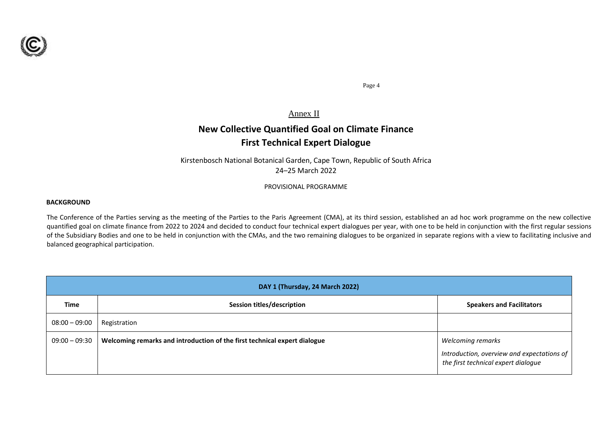

Annex II

# **New Collective Quantified Goal on Climate Finance First Technical Expert Dialogue**

Kirstenbosch National Botanical Garden, Cape Town, Republic of South Africa 24–25 March 2022

PROVISIONAL PROGRAMME

#### **BACKGROUND**

The Conference of the Parties serving as the meeting of the Parties to the Paris Agreement (CMA), at its third session, established an ad hoc work programme on the new collective quantified goal on climate finance from 2022 to 2024 and decided to conduct four technical expert dialogues per year, with one to be held in conjunction with the first regular sessions of the Subsidiary Bodies and one to be held in conjunction with the CMAs, and the two remaining dialogues to be organized in separate regions with a view to facilitating inclusive and balanced geographical participation.

| DAY 1 (Thursday, 24 March 2022) |                                                                           |                                                                                                        |  |  |
|---------------------------------|---------------------------------------------------------------------------|--------------------------------------------------------------------------------------------------------|--|--|
| <b>Time</b>                     | Session titles/description                                                | <b>Speakers and Facilitators</b>                                                                       |  |  |
| $08:00 - 09:00$                 | Registration                                                              |                                                                                                        |  |  |
| $09:00 - 09:30$                 | Welcoming remarks and introduction of the first technical expert dialogue | Welcoming remarks<br>Introduction, overview and expectations of<br>the first technical expert dialogue |  |  |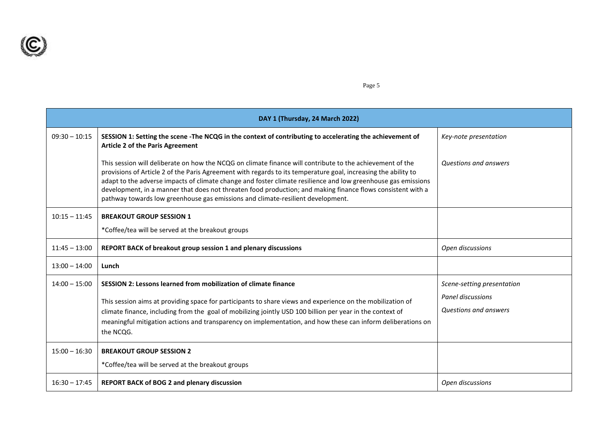

| DAY 1 (Thursday, 24 March 2022) |                                                                                                                                                                                                                                                                                                                                                                                                                                                                                                                                                |                                                                          |  |
|---------------------------------|------------------------------------------------------------------------------------------------------------------------------------------------------------------------------------------------------------------------------------------------------------------------------------------------------------------------------------------------------------------------------------------------------------------------------------------------------------------------------------------------------------------------------------------------|--------------------------------------------------------------------------|--|
| $09:30 - 10:15$                 | SESSION 1: Setting the scene -The NCQG in the context of contributing to accelerating the achievement of<br><b>Article 2 of the Paris Agreement</b>                                                                                                                                                                                                                                                                                                                                                                                            | Key-note presentation                                                    |  |
|                                 | This session will deliberate on how the NCQG on climate finance will contribute to the achievement of the<br>provisions of Article 2 of the Paris Agreement with regards to its temperature goal, increasing the ability to<br>adapt to the adverse impacts of climate change and foster climate resilience and low greenhouse gas emissions<br>development, in a manner that does not threaten food production; and making finance flows consistent with a<br>pathway towards low greenhouse gas emissions and climate-resilient development. | Questions and answers                                                    |  |
| $10:15 - 11:45$                 | <b>BREAKOUT GROUP SESSION 1</b>                                                                                                                                                                                                                                                                                                                                                                                                                                                                                                                |                                                                          |  |
|                                 | *Coffee/tea will be served at the breakout groups                                                                                                                                                                                                                                                                                                                                                                                                                                                                                              |                                                                          |  |
| $11:45 - 13:00$                 | REPORT BACK of breakout group session 1 and plenary discussions                                                                                                                                                                                                                                                                                                                                                                                                                                                                                | Open discussions                                                         |  |
| $13:00 - 14:00$                 | Lunch                                                                                                                                                                                                                                                                                                                                                                                                                                                                                                                                          |                                                                          |  |
| $14:00 - 15:00$                 | SESSION 2: Lessons learned from mobilization of climate finance<br>This session aims at providing space for participants to share views and experience on the mobilization of<br>climate finance, including from the goal of mobilizing jointly USD 100 billion per year in the context of<br>meaningful mitigation actions and transparency on implementation, and how these can inform deliberations on<br>the NCQG.                                                                                                                         | Scene-setting presentation<br>Panel discussions<br>Questions and answers |  |
| $15:00 - 16:30$                 | <b>BREAKOUT GROUP SESSION 2</b><br>*Coffee/tea will be served at the breakout groups                                                                                                                                                                                                                                                                                                                                                                                                                                                           |                                                                          |  |
| $16:30 - 17:45$                 | REPORT BACK of BOG 2 and plenary discussion                                                                                                                                                                                                                                                                                                                                                                                                                                                                                                    | Open discussions                                                         |  |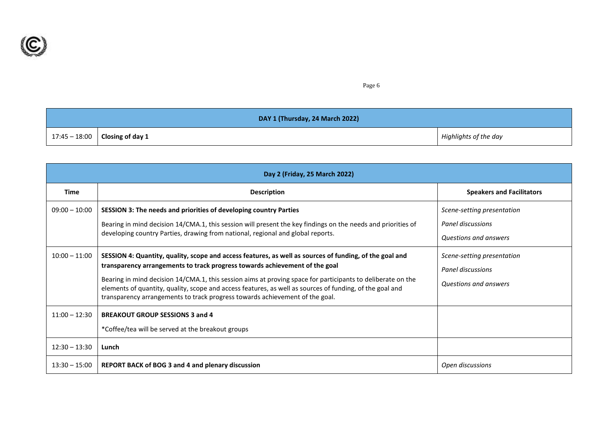

| DAY 1 (Thursday, 24 March 2022) |                                    |                       |
|---------------------------------|------------------------------------|-----------------------|
|                                 | $17:45 - 18:00$   Closing of day 1 | Highlights of the day |

| Day 2 (Friday, 25 March 2022)      |                                                                                                                                                                                                                                                                                                                                                                                                                                                                                                   |                                                                          |  |  |
|------------------------------------|---------------------------------------------------------------------------------------------------------------------------------------------------------------------------------------------------------------------------------------------------------------------------------------------------------------------------------------------------------------------------------------------------------------------------------------------------------------------------------------------------|--------------------------------------------------------------------------|--|--|
| Time                               | <b>Description</b>                                                                                                                                                                                                                                                                                                                                                                                                                                                                                | <b>Speakers and Facilitators</b>                                         |  |  |
| $09:00 - 10:00$                    | SESSION 3: The needs and priorities of developing country Parties<br>Bearing in mind decision 14/CMA.1, this session will present the key findings on the needs and priorities of<br>developing country Parties, drawing from national, regional and global reports.                                                                                                                                                                                                                              | Scene-setting presentation<br>Panel discussions<br>Questions and answers |  |  |
| $10:00 - 11:00$                    | SESSION 4: Quantity, quality, scope and access features, as well as sources of funding, of the goal and<br>transparency arrangements to track progress towards achievement of the goal<br>Bearing in mind decision 14/CMA.1, this session aims at proving space for participants to deliberate on the<br>elements of quantity, quality, scope and access features, as well as sources of funding, of the goal and<br>transparency arrangements to track progress towards achievement of the goal. | Scene-setting presentation<br>Panel discussions<br>Questions and answers |  |  |
| $11:00 - 12:30$                    | <b>BREAKOUT GROUP SESSIONS 3 and 4</b><br>*Coffee/tea will be served at the breakout groups                                                                                                                                                                                                                                                                                                                                                                                                       |                                                                          |  |  |
| $12:30 - 13:30$<br>$13:30 - 15:00$ | Lunch<br><b>REPORT BACK of BOG 3 and 4 and plenary discussion</b>                                                                                                                                                                                                                                                                                                                                                                                                                                 | Open discussions                                                         |  |  |